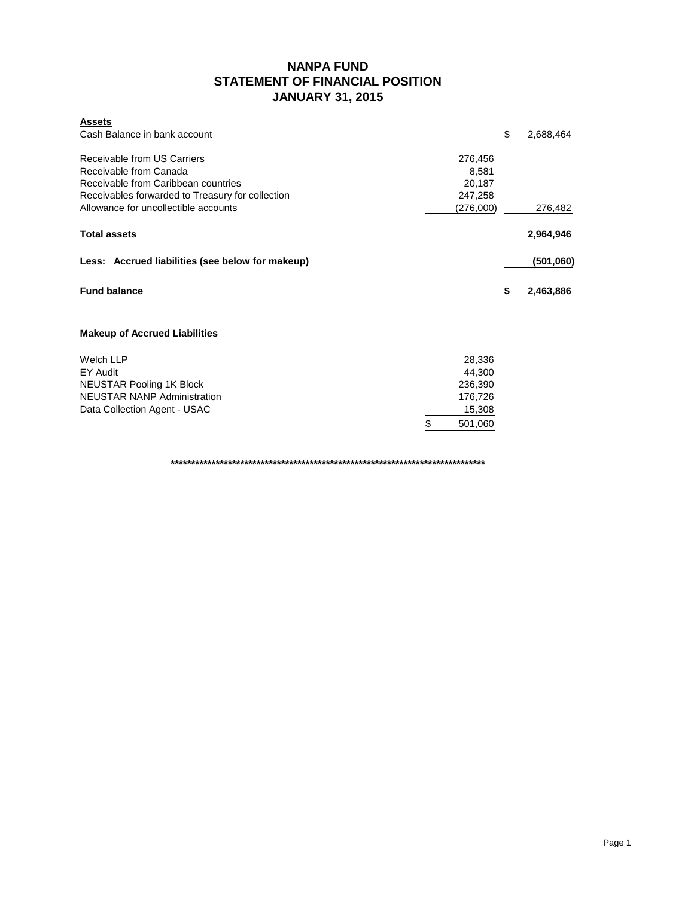## **NANPA FUND STATEMENT OF FINANCIAL POSITION JANUARY 31, 2015**

| <b>Assets</b><br>Cash Balance in bank account    |   |           | \$ | 2,688,464 |
|--------------------------------------------------|---|-----------|----|-----------|
| Receivable from US Carriers                      |   | 276,456   |    |           |
| Receivable from Canada                           |   | 8,581     |    |           |
| Receivable from Caribbean countries              |   | 20,187    |    |           |
| Receivables forwarded to Treasury for collection |   | 247,258   |    |           |
| Allowance for uncollectible accounts             |   | (276,000) |    | 276,482   |
| <b>Total assets</b>                              |   |           |    | 2,964,946 |
| Less: Accrued liabilities (see below for makeup) |   |           |    | (501,060) |
| <b>Fund balance</b>                              |   |           | S  | 2,463,886 |
| <b>Makeup of Accrued Liabilities</b>             |   |           |    |           |
| <b>Welch LLP</b>                                 |   | 28,336    |    |           |
| EY Audit                                         |   | 44,300    |    |           |
| <b>NEUSTAR Pooling 1K Block</b>                  |   | 236,390   |    |           |
| <b>NEUSTAR NANP Administration</b>               |   | 176,726   |    |           |
| Data Collection Agent - USAC                     |   | 15,308    |    |           |
|                                                  | S | 501,060   |    |           |

**\*\*\*\*\*\*\*\*\*\*\*\*\*\*\*\*\*\*\*\*\*\*\*\*\*\*\*\*\*\*\*\*\*\*\*\*\*\*\*\*\*\*\*\*\*\*\*\*\*\*\*\*\*\*\*\*\*\*\*\*\*\*\*\*\*\*\*\*\*\*\*\*\*\*\*\*\***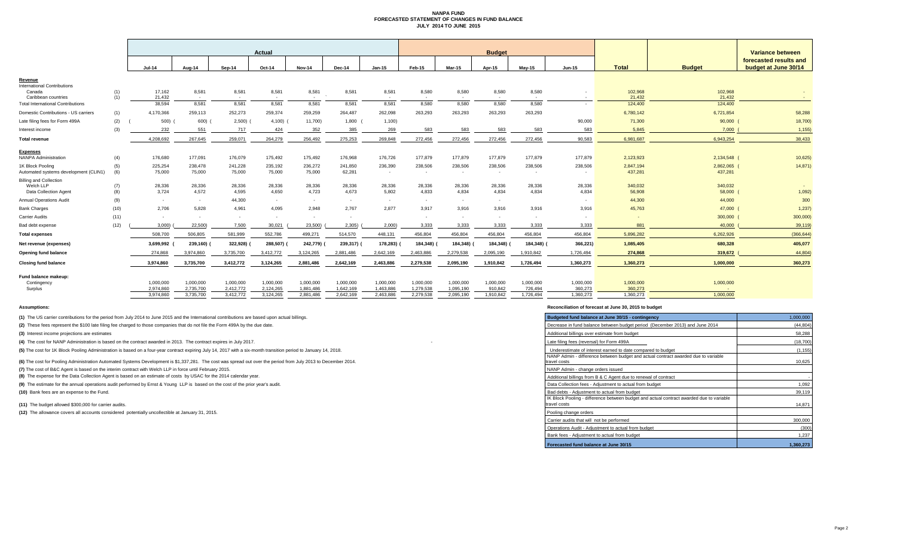#### **NANPA FUND FORECASTED STATEMENT OF CHANGES IN FUND BALANCE JULY 2014 TO JUNE 2015**

|                                                                     |            | Actual                 |                        |                        |                        |                        |                        | <b>Budget</b>          |                        |                        |                      |                      |                      |                      | <b>Variance between</b> |                                                |
|---------------------------------------------------------------------|------------|------------------------|------------------------|------------------------|------------------------|------------------------|------------------------|------------------------|------------------------|------------------------|----------------------|----------------------|----------------------|----------------------|-------------------------|------------------------------------------------|
|                                                                     |            | <b>Jul-14</b>          | Aug-14                 | Sep-14                 | Oct-14                 | <b>Nov-14</b>          | Dec-14                 | $Jan-15$               | Feb-15                 | <b>Mar-15</b>          | Apr-15               | Mav-15               | <b>Jun-15</b>        | <b>Total</b>         | <b>Budget</b>           | forecasted results and<br>budget at June 30/14 |
| Revenue                                                             |            |                        |                        |                        |                        |                        |                        |                        |                        |                        |                      |                      |                      |                      |                         |                                                |
| <b>International Contributions</b><br>Canada<br>Caribbean countries | (1)<br>(1) | 17,162<br>21.432       | 8,581<br>$\sim$        | 8,581<br>$\sim$        | 8,581<br>$\sim$        | 8,581<br>$\sim$        | 8,581                  | 8,581<br>$\sim$        | 8,580<br>$\sim$        | 8,580                  | 8,580<br>$\sim$      | 8,580<br>$\sim$      | $\sim$               | 102,968<br>21.432    | 102,968<br>21.432       | $\sim$                                         |
| <b>Total International Contributions</b>                            |            | 38,594                 | 8,581                  | 8,581                  | 8,581                  | 8,581                  | 8,581                  | 8,581                  | 8,580                  | 8,580                  | 8,580                | 8,580                | $\sim$               | 124,400              | 124,400                 |                                                |
| Domestic Contributions - US carriers                                | (1)        | 4,170,366              | 259.113                | 252,273                | 259,374                | 259,259                | 264.487                | 262,098                | 263,293                | 263,293                | 263,293              | 263,293              |                      | 6,780,142            | 6,721,854               | 58,288                                         |
| Late filing fees for Form 499A                                      | (2)        | 500)                   | 600)                   | 2,500)                 | $4,100$ )              | 11,700)                | 1,800                  | 1,100                  |                        |                        |                      |                      | 90,000               | 71,300               | 90,000                  | 18,700                                         |
| Interest income                                                     | (3)        | 232                    | 551                    | 717                    | 424                    | 352                    | 385                    | 269                    | 583                    | 583                    | 583                  | 583                  | 583                  | 5.845                | 7.000                   | 1,155                                          |
| <b>Total revenue</b>                                                |            | 4,208,692              | 267,645                | 259,071                | 264,279                | 256,492                | 275,253                | 269,848                | 272,456                | 272,456                | 272,456              | 272,456              | 90,583               | 6,981,687            | 6,943,254               | 38,433                                         |
|                                                                     |            |                        |                        |                        |                        |                        |                        |                        |                        |                        |                      |                      |                      |                      |                         |                                                |
| <b>Expenses</b><br><b>NANPA Administration</b>                      | (4)        | 176,680                | 177,091                | 176,079                | 175,492                | 175,492                | 176,968                | 176,726                | 177,879                | 177,879                | 177,879              | 177,879              | 177,879              | 2,123,923            | 2,134,548 (             | 10,625                                         |
| 1K Block Pooling<br>Automated systems development (CLIN1)           | (5)<br>(6) | 225,254<br>75,000      | 238,478<br>75,000      | 241,228<br>75,000      | 235,192<br>75,000      | 236,272<br>75,000      | 241,850<br>62,281      | 236,390<br>$\sim$      | 238,506<br>$\sim$      | 238,506                | 238,506<br>$\sim$    | 238,506<br>$\sim$    | 238,506              | 2,847,194<br>437,281 | 2,862,065 (<br>437,281  | 14,871)                                        |
| <b>Billing and Collection</b><br>Welch LLP<br>Data Collection Agent | (7)<br>(8) | 28,336<br>3.724        | 28,336<br>4,572        | 28,336<br>4,595        | 28,336<br>4,650        | 28,336<br>4,723        | 28,336<br>4.673        | 28,336<br>5,802        | 28,336<br>4,833        | 28,336<br>4.834        | 28,336<br>4,834      | 28,336<br>4,834      | 28,336<br>4.834      | 340,032<br>56,908    | 340,032<br>58,000       | 1,092                                          |
| <b>Annual Operations Audit</b>                                      | (9)        | $\sim$                 | $\sim$                 | 44,300                 | $\sim$                 | $\sim$                 | $\sim$                 | $\sim$                 | $\sim$                 | $\sim$                 | $\sim$               |                      | $\sim$               | 44,300               | 44,000                  | 300                                            |
| <b>Bank Charges</b>                                                 | (10)       | 2.706                  | 5.828                  | 4,961                  | 4,095                  | 2.948                  | 2.767                  | 2,877                  | 3,917                  | 3,916                  | 3.916                | 3,916                | 3,916                | 45,763               | 47,000                  | 1,237                                          |
| <b>Carrier Audits</b>                                               | (11)       | $\sim$                 | ж.                     | $\sim$                 | $\sim$                 | $\sim$                 | $\sim$                 |                        | $\sim$                 |                        | $\sim$               | $\sim$               | $\sim$               |                      | 300,000                 | 300,000                                        |
| Bad debt expense                                                    | (12)       | 3,000                  | 22,500)                | 7,500                  | 30,021                 | 23,500)                | 2,305                  | 2,000                  | 3,333                  | 3,333                  | 3,333                | 3,333                | 3,333                | 881                  | 40,000                  | 39,119                                         |
| <b>Total expenses</b>                                               |            | 508.700                | 506.805                | 581,999                | 552,786                | 499,271                | 514.570                | 448,131                | 456.804                | 456.804                | 456,804              | 456.804              | 456,804              | 5.896.282            | 6.262.926               | (366, 644)                                     |
| Net revenue (expenses)                                              |            | 3,699,992              | 239,160)               | 322,928)               | 288,507)               | 242,779)               | 239,317)               | 178,283)               | 184,348)               | 184,348)               | 184,348)             | 184,348) (           | 366,221)             | 1,085,405            | 680,328                 | 405,077                                        |
| <b>Opening fund balance</b>                                         |            | 274,868                | 3,974,860              | 3,735,700              | 3,412,772              | 3,124,265              | 2,881,486              | 2,642,169              | 2,463,886              | 2,279,538              | 2,095,190            | 1,910,842            | 1,726,494            | 274,868              | 319,672                 | 44,804                                         |
| <b>Closing fund balance</b>                                         |            | 3,974,860              | 3,735,700              | 3,412,772              | 3,124,265              | 2,881,486              | 2,642,169              | 2,463,886              | 2,279,538              | 2,095,190              | 1,910,842            | 1,726,494            | 1,360,273            | 1,360,273            | 1,000,000               | 360,273                                        |
| Fund balance makeup:                                                |            |                        |                        |                        |                        |                        |                        |                        |                        |                        |                      |                      |                      |                      |                         |                                                |
| Contingency<br>Surplus                                              |            | 1,000,000<br>2,974,860 | 1,000,000<br>2,735,700 | 1,000,000<br>2,412,772 | 1,000,000<br>2,124,265 | 1,000,000<br>1,881,486 | 1,000,000<br>1,642,169 | 1,000,000<br>1,463,886 | 1,000,000<br>1,279,538 | 1,000,000<br>1,095,190 | 1,000,000<br>910,842 | 1,000,000<br>726,494 | 1,000,000<br>360,273 | 1,000,000<br>360,273 | 1,000,000               |                                                |
|                                                                     |            | 3,974,860              | 3,735,700              | 3,412,772              | 3,124,265              | 2,881,486              | 2,642,169              | 2,463,886              | 2,279,538              | 2,095,190              | 1,910,842            | 1,726,494            | 1,360,273            | 1,360,273            | 1,000,000               |                                                |
|                                                                     |            |                        |                        |                        |                        |                        |                        |                        |                        |                        |                      |                      |                      |                      |                         |                                                |

**(1)** The US carrier contributions for the period from July 2014 to June 2015 and the International contributions are based upon actual billings.

(2) These fees represent the \$100 late filing fee charged to those companies that do not file the Form 499A by the due date.

**(3)** Interest income projections are estimates

**(4)** The cost for NANP Administration is based on the contract awarded in 2013. The contract expires in July 2017.

(5) The cost for 1K Block Pooling Administration is based on a four-year contract expiring July 14, 2017 with a six-month transition period to January 14, 2018.

**(6)** The cost for Pooling Administration Automated Systems Development is \$1,337,281. The cost was spread out over the period from July 2013 to December 2014.

**(7)** The cost of B&C Agent is based on the interim contract with Welch LLP in force until February 2015.

**(8)** The expense for the Data Collection Agent is based on an estimate of costs by USAC for the 2014 calendar year.

(9) The estimate for the annual operations audit performed by Ernst & Young LLP is based on the cost of the prior year's audit.

**(10)** Bank fees are an expense to the Fund.

**(11)** The budget allowed \$300,000 for carrier audits.

(12) The allowance covers all accounts considered potentially uncollectible at January 31, 2015.

#### **Assumptions: Reconciliation of forecast at June 30, 2015 to budget**

| Budgeted fund balance at June 30/15 - contingency                                                        | 1,000,000 |
|----------------------------------------------------------------------------------------------------------|-----------|
| Decrease in fund balance between budget period (December 2013) and June 2014                             | (44, 804) |
| Additional billings over estimate from budget                                                            | 58,288    |
| Late filing fees (reversal) for Form 499A                                                                | (18,700)  |
| Underestimate of interest earned to date compared to budget                                              | (1, 155)  |
| NANP Admin - difference between budget and actual contract awarded due to variable<br>travel costs       | 10,625    |
| NANP Admin - change orders issued                                                                        |           |
| Additional billings from B & C Agent due to renewal of contract                                          |           |
| Data Collection fees - Adjustment to actual from budget                                                  | 1,092     |
| Bad debts - Adiustment to actual from budget                                                             | 39,119    |
| IK Block Pooling - difference between budget and actual contract awarded due to variable<br>travel costs | 14,871    |
| Pooling change orders                                                                                    |           |
| Carrier audits that will not be performed                                                                | 300,000   |
| Operations Audit - Adjustment to actual from budget                                                      | (300)     |
| Bank fees - Adjustment to actual from budget                                                             | 1.237     |
| Forecasted fund balance at June 30/15                                                                    | 1,360,273 |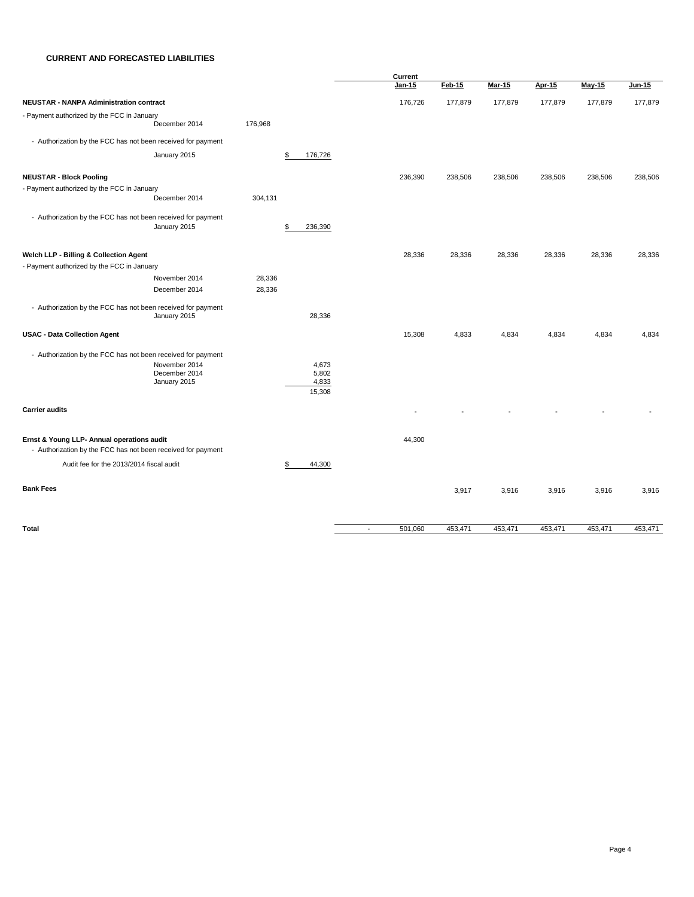#### **CURRENT AND FORECASTED LIABILITIES**

|                                                              |               |         |                 |                          | Current  |         |               |               |         |         |
|--------------------------------------------------------------|---------------|---------|-----------------|--------------------------|----------|---------|---------------|---------------|---------|---------|
|                                                              |               |         |                 |                          | $Jan-15$ | Feb-15  | <b>Mar-15</b> | <b>Apr-15</b> | May-15  | Jun-15  |
| <b>NEUSTAR - NANPA Administration contract</b>               |               |         |                 |                          | 176,726  | 177,879 | 177,879       | 177,879       | 177,879 | 177,879 |
| - Payment authorized by the FCC in January                   |               |         |                 |                          |          |         |               |               |         |         |
|                                                              | December 2014 | 176,968 |                 |                          |          |         |               |               |         |         |
| - Authorization by the FCC has not been received for payment |               |         |                 |                          |          |         |               |               |         |         |
| January 2015                                                 |               |         | \$<br>176,726   |                          |          |         |               |               |         |         |
| <b>NEUSTAR - Block Pooling</b>                               |               |         |                 |                          | 236,390  | 238,506 | 238,506       | 238,506       | 238,506 | 238,506 |
| - Payment authorized by the FCC in January                   |               |         |                 |                          |          |         |               |               |         |         |
|                                                              | December 2014 | 304,131 |                 |                          |          |         |               |               |         |         |
| - Authorization by the FCC has not been received for payment |               |         |                 |                          |          |         |               |               |         |         |
| January 2015                                                 |               |         | \$<br>236,390   |                          |          |         |               |               |         |         |
|                                                              |               |         |                 |                          |          |         |               |               |         |         |
| Welch LLP - Billing & Collection Agent                       |               |         |                 |                          | 28,336   | 28,336  | 28,336        | 28,336        | 28,336  | 28,336  |
| - Payment authorized by the FCC in January                   |               |         |                 |                          |          |         |               |               |         |         |
|                                                              | November 2014 | 28,336  |                 |                          |          |         |               |               |         |         |
|                                                              | December 2014 | 28,336  |                 |                          |          |         |               |               |         |         |
| - Authorization by the FCC has not been received for payment |               |         |                 |                          |          |         |               |               |         |         |
| January 2015                                                 |               |         | 28,336          |                          |          |         |               |               |         |         |
| <b>USAC - Data Collection Agent</b>                          |               |         |                 |                          | 15,308   | 4,833   | 4,834         | 4,834         | 4,834   | 4,834   |
| - Authorization by the FCC has not been received for payment |               |         |                 |                          |          |         |               |               |         |         |
|                                                              | November 2014 |         | 4,673           |                          |          |         |               |               |         |         |
|                                                              | December 2014 |         | 5,802           |                          |          |         |               |               |         |         |
| January 2015                                                 |               |         | 4,833<br>15,308 |                          |          |         |               |               |         |         |
|                                                              |               |         |                 |                          |          |         |               |               |         |         |
| <b>Carrier audits</b>                                        |               |         |                 |                          |          |         |               |               |         |         |
| Ernst & Young LLP- Annual operations audit                   |               |         |                 |                          | 44,300   |         |               |               |         |         |
| - Authorization by the FCC has not been received for payment |               |         |                 |                          |          |         |               |               |         |         |
| Audit fee for the 2013/2014 fiscal audit                     |               |         | \$<br>44,300    |                          |          |         |               |               |         |         |
| <b>Bank Fees</b>                                             |               |         |                 |                          |          | 3,917   | 3,916         | 3,916         | 3,916   | 3,916   |
|                                                              |               |         |                 |                          |          |         |               |               |         |         |
| Total                                                        |               |         |                 |                          |          |         |               |               |         |         |
|                                                              |               |         |                 | $\overline{\phantom{a}}$ | 501,060  | 453,471 | 453,471       | 453,471       | 453,471 | 453,471 |